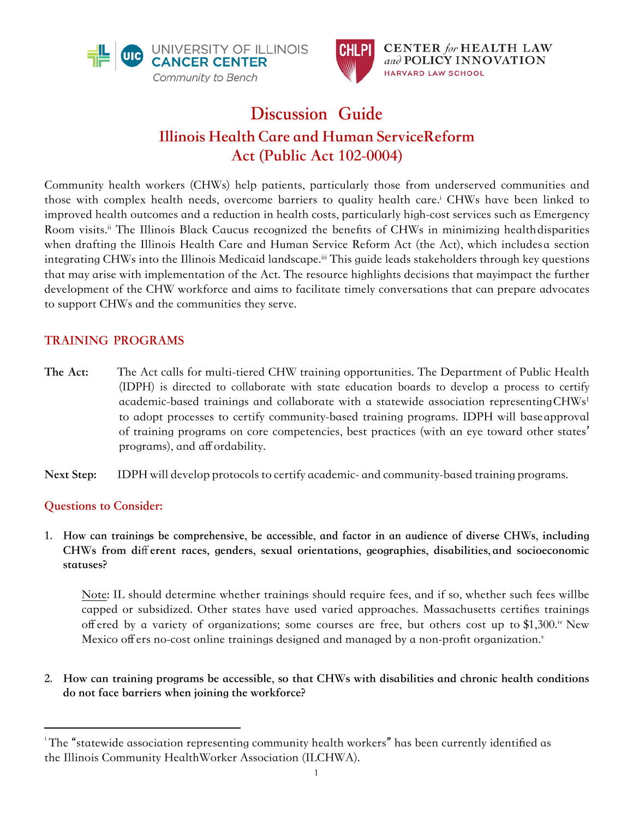



# **Discussion Guide Illinois Health Care and Human Service Reform Act (Public Act 102-0004)**

Community health workers (CHWs) help patients, particularly those from underserved communities and those with complex health needs, overcome barriers to quality health care.' CHWs have been linked to improved health outcomes and a reduction in health costs, particularly high-cost services such as Emergency Room visits.ii The Illinois Black Caucus recognized the benefits of CHWs in minimizing health disparities when drafting the Illinois Health Care and Human Service Reform Act (the Act), which includes a section integrating CHWs into the Illinois Medicaid landscape.<sup>iii</sup> This guide leads stakeholders through key questions that may arise with implementation of the Act. The resource highlights decisions that may impact the further development of the CHW workforce and aims to facilitate timely conversations that can prepare advocates to support CHWs and the communities they serve.

# **TRAINING PROGRAMS**

**The Act:** The Act calls for multi-tiered CHW training opportunities. The Department of Public Health (IDPH) is directed to collaborate with state education boards to develop a process to certify academic-based trainings and collaborate with a statewide association representing CHWs<sup>1</sup> to adopt processes to certify community-based training programs. IDPH will base approval of training programs on core competencies, best practices (with an eye toward other states' programs), and affordability.

**Next Step:** IDPH will develop protocols to certify academic- and community-based training programs.

### **Questions to Consider:**

**1. How can trainings be comprehensive, be accessible, and factor in an audience of diverse CHWs, including CHWs from different races, genders, sexual orientations, geographies, disabilities, and socioeconomic statuses?**

Note: IL should determine whether trainings should require fees, and if so, whether such fees will be capped or subsidized. Other states have used varied approaches. Massachusetts certifies trainings offered by a variety of organizations; some courses are free, but others cost up to \$1,300.iv New Mexico offers no-cost online trainings designed and managed by a non-profit organization.

**2. How can training programs be accessible, so that CHWs with disabilities and chronic health conditions do not face barriers when joining the workforce?**

 $1$ The "statewide association representing community health workers" has been currently identified as the Illinois Community Health Worker Association (ILCHWA).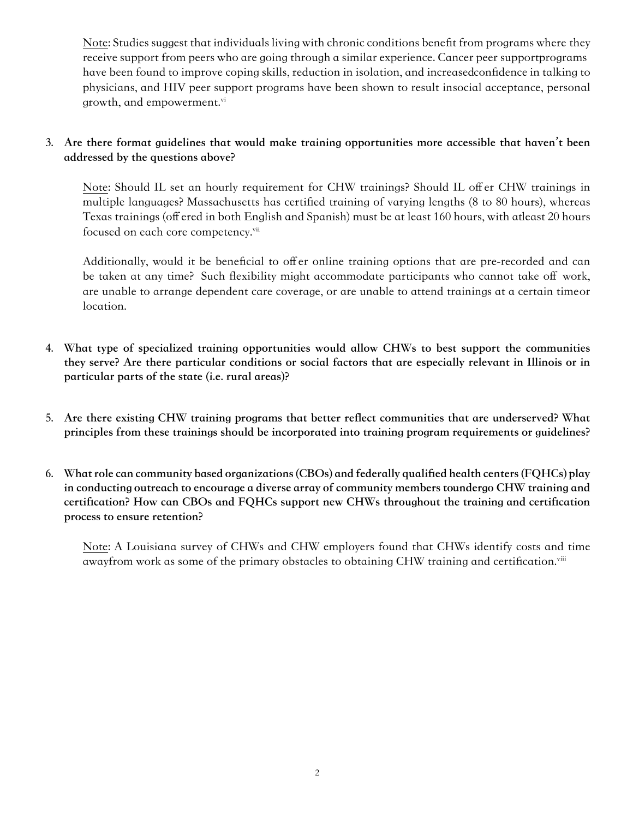Note: Studies suggest that individuals living with chronic conditions benefit from programs where they receive support from peers who are going through a similar experience. Cancer peer support programs have been found to improve coping skills, reduction in isolation, and increased confidence in talking to physicians, and HIV peer support programs have been shown to result in social acceptance, personal growth, and empowerment.<sup>vi</sup>

#### **3. Are there format guidelines that would make training opportunities more accessible that haven't been addressed by the questions above?**

Note: Should IL set an hourly requirement for CHW trainings? Should IL offer CHW trainings in multiple languages? Massachusetts has certified training of varying lengths (8 to 80 hours), whereas Texas trainings (offered in both English and Spanish) must be at least 160 hours, with at least 20 hours focused on each core competency.<sup>vii</sup>

Additionally, would it be beneficial to offer online training options that are pre-recorded and can be taken at any time? Such flexibility might accommodate participants who cannot take off work, are unable to arrange dependent care coverage, or are unable to attend trainings at a certain time or location.

- **4. What type of specialized training opportunities would allow CHWs to best support the communities they serve? Are there particular conditions or social factors that are especially relevant in Illinois or in particular parts of the state (i.e. rural areas)?**
- **5. Are there existing CHW training programs that better reflect communities that are underserved? What principles from these trainings should be incorporated into training program requirements or guidelines?**
- **6. What role can community based organizations (CBOs) and federally qualified health centers (FQHCs) play**  in conducting outreach to encourage a diverse array of community members toundergo CHW training and **certification? How can CBOs and FQHCs support new CHWs throughout the training and certification process to ensure retention?**

Note: A Louisiana survey of CHWs and CHW employers found that CHWs identify costs and time away from work as some of the primary obstacles to obtaining CHW training and certification.<sup>viii</sup>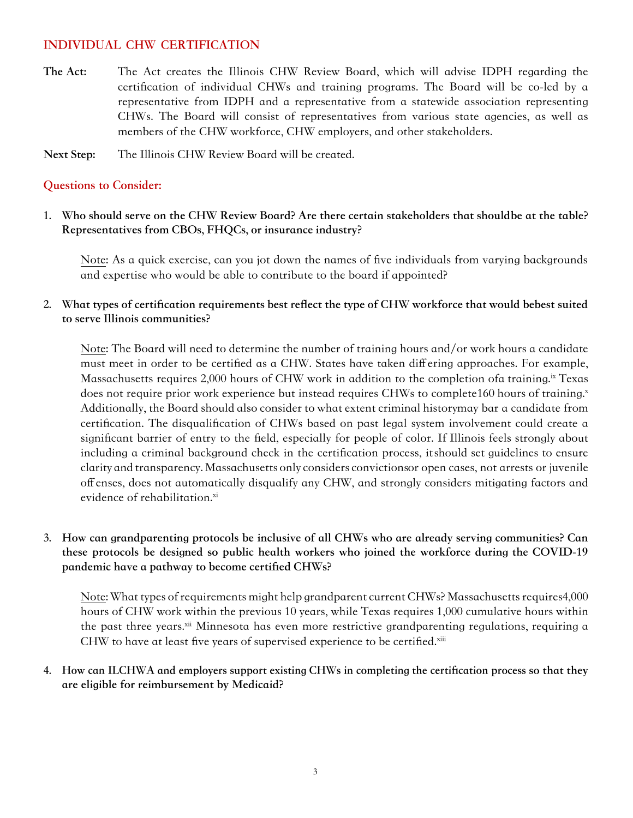### **INDIVIDUAL CHW CERTIFICATION**

**The Act:** The Act creates the Illinois CHW Review Board, which will advise IDPH regarding the certification of individual CHWs and training programs. The Board will be co-led by a representative from IDPH and a representative from a statewide association representing CHWs. The Board will consist of representatives from various state agencies, as well as members of the CHW workforce, CHW employers, and other stakeholders.

**Next Step:** The Illinois CHW Review Board will be created.

#### **Questions to Consider:**

1. Who should serve on the CHW Review Board? Are there certain stakeholders that should be at the table? **Representatives from CBOs, FHQCs, or insurance industry?**

Note: As a quick exercise, can you jot down the names of five individuals from varying backgrounds and expertise who would be able to contribute to the board if appointed?

2. What types of certification requirements best reflect the type of CHW workforce that would bebest suited **to serve Illinois communities?**

Note: The Board will need to determine the number of training hours and/or work hours a candidate must meet in order to be certified as a CHW. States have taken differing approaches. For example, Massachusetts requires 2,000 hours of CHW work in addition to the completion of a training.<sup>ix</sup> Texas does not require prior work experience but instead requires CHWs to complete 160 hours of training.<sup>x</sup> Additionally, the Board should also consider to what extent criminal history may bar a candidate from certification. The disqualification of CHWs based on past legal system involvement could create a significant barrier of entry to the field, especially for people of color. If Illinois feels strongly about including a criminal background check in the certification process, it should set guidelines to ensure clarity and transparency. Massachusetts only considers convictions or open cases, not arrests or juvenile offenses, does not automatically disqualify any CHW, and strongly considers mitigating factors and evidence of rehabilitation.<sup>xi</sup>

#### **3. How can grandparenting protocols be inclusive of all CHWs who are already serving communities? Can these protocols be designed so public health workers who joined the workforce during the COVID-19 pandemic have a pathway to become certified CHWs?**

Note: What types of requirements might help grandparent current CHWs? Massachusetts requires 4,000 hours of CHW work within the previous 10 years, while Texas requires 1,000 cumulative hours within the past three years.<sup>xii</sup> Minnesota has even more restrictive grandparenting regulations, requiring a CHW to have at least five years of supervised experience to be certified.xiii

**4. How can ILCHWA and employers support existing CHWs in completing the certification process so that they are eligible for reimbursement by Medicaid?**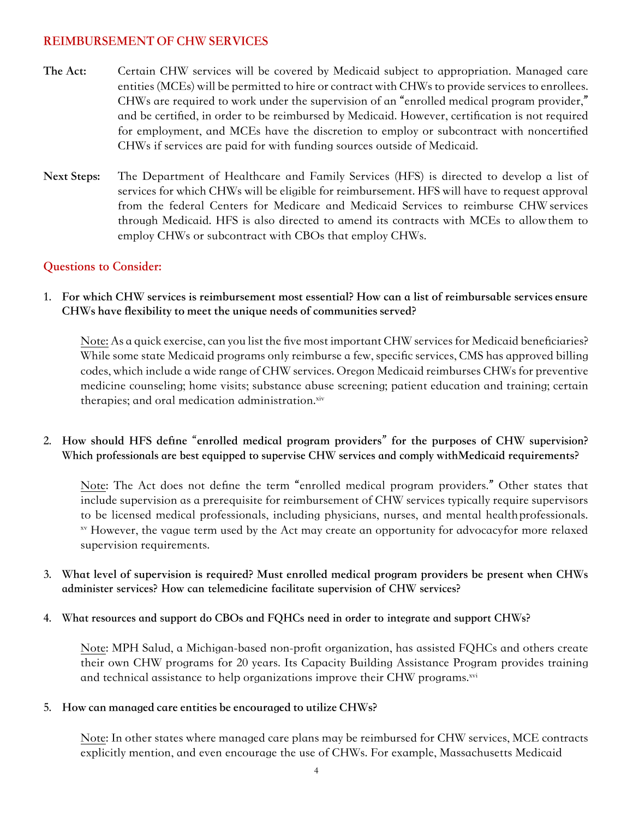#### **REIMBURSEMENT OF CHW SERVICES**

- **The Act:** Certain CHW services will be covered by Medicaid subject to appropriation. Managed care entities (MCEs) will be permitted to hire or contract with CHWs to provide services to enrollees. CHWs are required to work under the supervision of an "enrolled medical program provider," and be certified, in order to be reimbursed by Medicaid. However, certification is not required for employment, and MCEs have the discretion to employ or subcontract with noncertified CHWs if services are paid for with funding sources outside of Medicaid.
- **Next Steps:** The Department of Healthcare and Family Services (HFS) is directed to develop a list of services for which CHWs will be eligible for reimbursement. HFS will have to request approval from the federal Centers for Medicare and Medicaid Services to reimburse CHW services through Medicaid. HFS is also directed to amend its contracts with MCEs to allow them to employ CHWs or subcontract with CBOs that employ CHWs.

## **Questions to Consider:**

**1. For which CHW services is reimbursement most essential? How can a list of reimbursable services ensure CHWs have flexibility to meet the unique needs of communities served?**

Note: As a quick exercise, can you list the five most important CHW services for Medicaid beneficiaries? While some state Medicaid programs only reimburse a few, specific services, CMS has approved billing codes, which include a wide range of CHW services. Oregon Medicaid reimburses CHWs for preventive medicine counseling; home visits; substance abuse screening; patient education and training; certain therapies; and oral medication administration.xiv

**2. How should HFS define "enrolled medical program providers" for the purposes of CHW supervision? Which professionals are best equipped to supervise CHW services and comply with Medicaid requirements?**

Note: The Act does not define the term "enrolled medical program providers." Other states that include supervision as a prerequisite for reimbursement of CHW services typically require supervisors to be licensed medical professionals, including physicians, nurses, and mental health professionals. xv However, the vague term used by the Act may create an opportunity for advocacy for more relaxed supervision requirements.

- **3. What level of supervision is required? Must enrolled medical program providers be present when CHWs administer services? How can telemedicine facilitate supervision of CHW services?**
- **4. What resources and support do CBOs and FQHCs need in order to integrate and support CHWs?**

Note: MPH Salud, a Michigan-based non-profit organization, has assisted FQHCs and others create their own CHW programs for 20 years. Its Capacity Building Assistance Program provides training and technical assistance to help organizations improve their CHW programs.<sup>xvi</sup>

#### **5. How can managed care entities be encouraged to utilize CHWs?**

Note: In other states where managed care plans may be reimbursed for CHW services, MCE contracts explicitly mention, and even encourage the use of CHWs. For example, Massachusetts Medicaid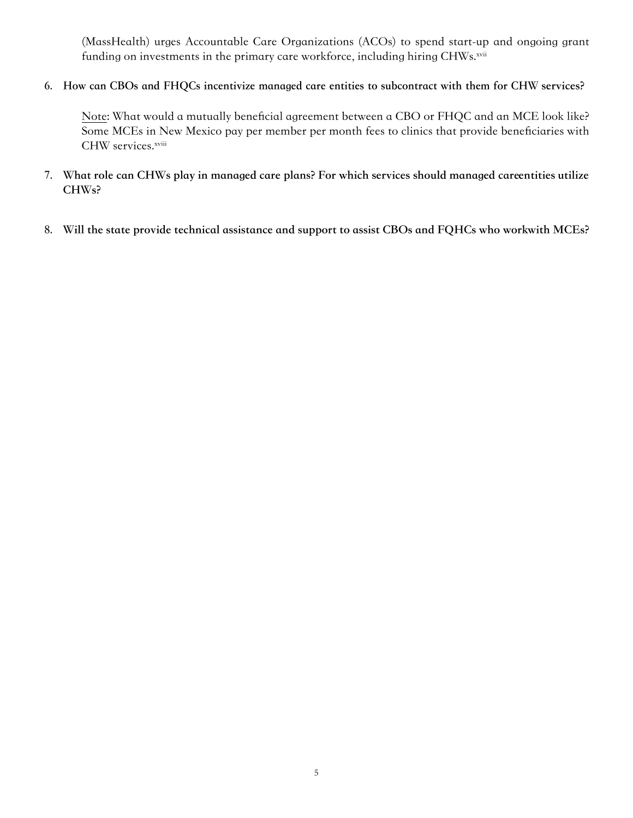(MassHealth) urges Accountable Care Organizations (ACOs) to spend start-up and ongoing grant funding on investments in the primary care workforce, including hiring CHWs.xvii

**6. How can CBOs and FHQCs incentivize managed care entities to subcontract with them for CHW services?**

Note: What would a mutually beneficial agreement between a CBO or FHQC and an MCE look like? Some MCEs in New Mexico pay per member per month fees to clinics that provide beneficiaries with CHW services.xviii

- 7. What role can CHWs play in managed care plans? For which services should managed careentities utilize **CHWs?**
- 8. Will the state provide technical assistance and support to assist CBOs and FQHCs who workwith MCEs?